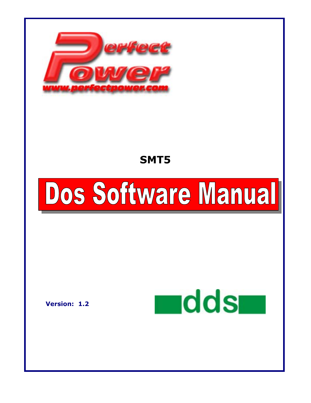

# **SMT5**

# Dos Software Manual

**Version: 1.2** 

**H**dds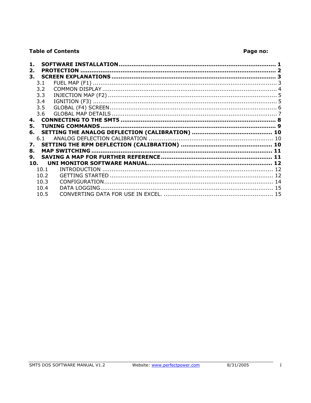# **Table of Contents**

# Page no:

| 2.              |      | <b>PROTECTION</b> |    |
|-----------------|------|-------------------|----|
|                 |      |                   |    |
|                 | 3.1  |                   |    |
|                 | 3.2  |                   |    |
|                 | 3.3  |                   |    |
|                 | 3.4  |                   |    |
|                 | 3.5  |                   |    |
|                 | 3.6  |                   |    |
| 4.              |      |                   |    |
| 5.              |      |                   |    |
| 6.              |      |                   |    |
|                 | 6.1  |                   |    |
| 7.              |      |                   |    |
| 8.              |      |                   |    |
| 9.              |      |                   |    |
| 10 <sub>l</sub> |      |                   |    |
|                 | 10.1 |                   |    |
|                 | 10.2 |                   |    |
|                 | 10.3 |                   |    |
|                 | 10.4 | DATA LOGGING      | 15 |
|                 | 10.5 |                   |    |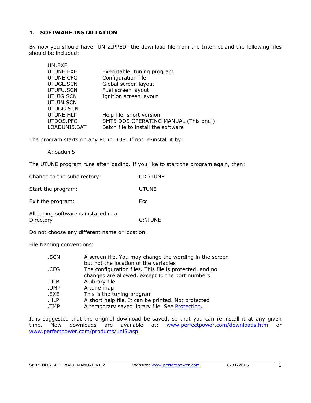# <span id="page-2-0"></span>**1. SOFTWARE INSTALLATION**

By now you should have "UN-ZIPPED" the download file from the Internet and the following files should be included:

| UM.EXE       |                                       |
|--------------|---------------------------------------|
| UTUNE.EXE    | Executable, tuning program            |
| UTUNE.CFG    | Configuration file                    |
| UTUGL.SCN    | Global screen layout                  |
| UTUFU.SCN    | Fuel screen layout                    |
| UTUIG.SCN    | Ignition screen layout                |
| UTUIN.SCN    |                                       |
| UTUGG.SCN    |                                       |
| UTUNE.HLP    | Help file, short version              |
| UTDOS.PFG    | SMT5 DOS OPERATING MANUAL (This one!) |
| LOADUNI5.BAT | Batch file to install the software    |
|              |                                       |

The program starts on any PC in DOS. If not re-install it by:

A:loaduni5

The UTUNE program runs after loading. If you like to start the program again, then:

| Change to the subdirectory:                        | CD \TUNE     |
|----------------------------------------------------|--------------|
| Start the program:                                 | <b>UTUNE</b> |
| Exit the program:                                  | <b>Esc</b>   |
| All tuning software is installed in a<br>Directory | C:\TUNE      |

Do not choose any different name or location.

File Naming conventions:

| .SCN | A screen file. You may change the wording in the screen |
|------|---------------------------------------------------------|
|      | but not the location of the variables                   |
| .CFG | The configuration files. This file is protected, and no |
|      | changes are allowed, except to the port numbers         |
| .ULB | A library file                                          |
| .UMP | A tune map                                              |
| .EXE | This is the tuning program                              |
| .HLP | A short help file. It can be printed. Not protected     |
| .TMP | A temporary saved library file. See Protection.         |

It is suggested that the original download be saved, so that you can re-install it at any given time. New downloads are available at: [www.perfectpower.com/downloads.htm](http://www.perfectpower.com/downloads.htm) or [www.perfectpower.com/products/uni5.asp](http://www.perfectpower.com/products/uni5.asp)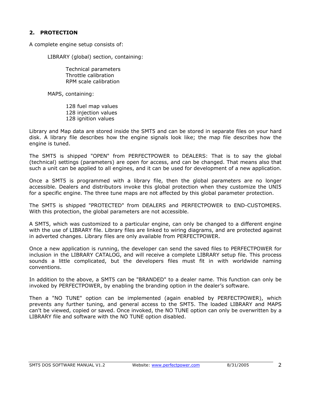# <span id="page-3-0"></span>**2. PROTECTION**

A complete engine setup consists of:

LIBRARY (global) section, containing:

 Technical parameters Throttle calibration RPM scale calibration

MAPS, containing:

128 fuel map values 128 injection values 128 ignition values

Library and Map data are stored inside the SMT5 and can be stored in separate files on your hard disk. A library file describes how the engine signals look like; the map file describes how the engine is tuned.

The SMT5 is shipped "OPEN" from PERFECTPOWER to DEALERS: That is to say the global (technical) settings (parameters) are open for access, and can be changed. That means also that such a unit can be applied to all engines, and it can be used for development of a new application.

Once a SMT5 is programmed with a library file, then the global parameters are no longer accessible. Dealers and distributors invoke this global protection when they customize the UNI5 for a specific engine. The three tune maps are not affected by this global parameter protection.

The SMT5 is shipped "PROTECTED" from DEALERS and PERFECTPOWER to END-CUSTOMERS. With this protection, the global parameters are not accessible.

A SMT5, which was customized to a particular engine, can only be changed to a different engine with the use of LIBRARY file. Library files are linked to wiring diagrams, and are protected against in adverted changes. Library files are only available from PERFECTPOWER.

Once a new application is running, the developer can send the saved files to PERFECTPOWER for inclusion in the LIBRARY CATALOG, and will receive a complete LIBRARY setup file. This process sounds a little complicated, but the developers files must fit in with worldwide naming conventions.

In addition to the above, a SMT5 can be "BRANDED" to a dealer name. This function can only be invoked by PERFECTPOWER, by enabling the branding option in the dealer's software.

Then a "NO TUNE" option can be implemented (again enabled by PERFECTPOWER), which prevents any further tuning, and general access to the SMT5. The loaded LIBRARY and MAPS can't be viewed, copied or saved. Once invoked, the NO TUNE option can only be overwritten by a LIBRARY file and software with the NO TUNE option disabled.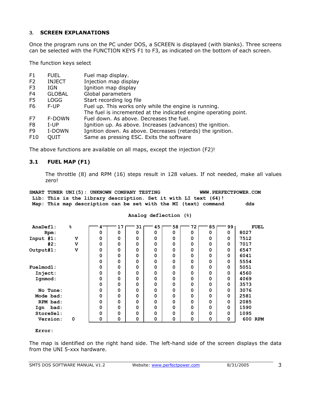# <span id="page-4-0"></span>3. **SCREEN EXPLANATIONS**

Once the program runs on the PC under DOS, a SCREEN is displayed (with blanks). Three screens can be selected with the FUNCTION KEYS F1 to F3, as indicated on the bottom of each screen.

The function keys select

| F1             | <b>FUEL</b>   | Fuel map display.                                                |
|----------------|---------------|------------------------------------------------------------------|
| F <sub>2</sub> | <b>INJECT</b> | Injection map display                                            |
| F3             | IGN.          | Ignition map display                                             |
| F4             | <b>GLOBAL</b> | Global parameters                                                |
| F5             | <b>LOGG</b>   | Start recording log file                                         |
| F6             | F-UP          | Fuel up. This works only while the engine is running.            |
|                |               | The fuel is incremented at the indicated engine operating point. |
| F7             | F-DOWN        | Fuel down, As above, Decreases the fuel.                         |
| F8             | $I-UP$        | Ignition up. As above. Increases (advances) the ignition.        |
| F9             | I-DOWN        | Ignition down. As above. Decreases (retards) the ignition.       |
| F10            | OUIT          | Same as pressing ESC. Exits the software                         |

The above functions are available on all maps, except the injection (F2)!

# **3.1 FUEL MAP (F1)**

The throttle (8) and RPM (16) steps result in 128 values. If not needed, make all values zero!

SMART TUNER UNI(5): UNKNOWN COMPANY TESTING WWW.PERFECTPOWER.COM  **Lib: This is the library description. Set it with LI text (64)! Map: This map description can be set with the MI (text) command dds** 

| AnaDefl:    | ℅                       | 4 | 17          | 31 | 45 | 58 | 72          | 85 | 99       | <b>FUEL</b> |
|-------------|-------------------------|---|-------------|----|----|----|-------------|----|----------|-------------|
| Rpm:        |                         | 0 | 0           | 0  | 0  | 0  | 0           | 0  | $\Omega$ | 8027        |
| Input #1:   | $\mathbf v$             | 0 | 0           | 0  | 0  | 0  | $\Omega$    | 0  | 0        | 7512        |
| #2:         | $\mathbf v$             | 0 | $\mathbf 0$ | 0  | 0  | 0  | $\mathbf 0$ | 0  | 0        | 7017        |
| Output#1:   | $\overline{\mathbf{V}}$ | 0 | 0           | 0  | 0  | 0  | 0           | 0  | 0        | 6547        |
|             |                         | 0 | $\mathbf 0$ | 0  | 0  | 0  | $\mathbf 0$ | 0  | 0        | 6041        |
|             |                         | 0 | 0           | 0  | 0  | 0  | 0           | 0  | 0        | 5554        |
| Fuelmod1:   |                         | 0 | 0           | 0  | 0  | 0  | $\mathbf 0$ | 0  | 0        | 5051        |
| Inject:     |                         | 0 | 0           | 0  | 0  | 0  | 0           | 0  | 0        | 4560        |
| Ignmod:     |                         | 0 | 0           | 0  | 0  | 0  | $\mathbf 0$ | 0  | 0        | 4069        |
|             |                         | 0 | 0           | 0  | 0  | 0  | 0           | 0  | 0        | 3573        |
| No Tune:    |                         | 0 | $\mathbf 0$ | 0  | 0  | 0  | $\mathbf 0$ | 0  | 0        | 3076        |
| Mode bad:   |                         | 0 | 0           | 0  | 0  | 0  | 0           | 0  | 0        | 2581        |
| RPM bad:    |                         | 0 | $\mathbf 0$ | 0  | 0  | 0  | $\mathbf 0$ | 0  | 0        | 2085        |
| bad:<br>Iqn |                         | 0 | $\mathbf 0$ | 0  | 0  | 0  | $\Omega$    | 0  | 0        | 1590        |
| StoreSel:   |                         | 0 | 0           | 0  | 0  | 0  | $\Omega$    | 0  | $\Omega$ | 1095        |
| Version:    | 0                       | 0 | 0           | 0  | 0  | 0  | 0           | 0  | 0        | 600 RPM     |

#### **Analog deflection (%)**

 **Error:** 

The map is identified on the right hand side. The left-hand side of the screen displays the data from the UNI 5-xxx hardware.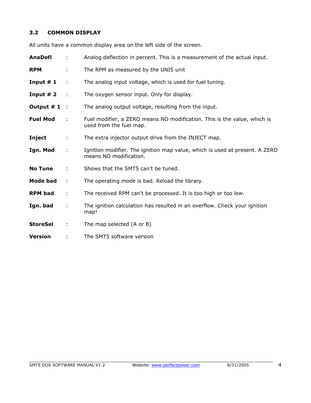# <span id="page-5-0"></span>**3.2 COMMON DISPLAY**

All units have a common display area on the left side of the screen.

| <b>AnaDefl</b>  | ÷              | Analog deflection in percent. This is a measurement of the actual input.                              |
|-----------------|----------------|-------------------------------------------------------------------------------------------------------|
| <b>RPM</b>      | ÷              | The RPM as measured by the UNI5 unit                                                                  |
| Input $# 1$     | ÷              | The analog input voltage, which is used for fuel tuning.                                              |
| Input $# 2$     | $\sim$ 1       | The oxygen sensor input. Only for display.                                                            |
| Output # 1      | $\mathbb{R}^2$ | The analog output voltage, resulting from the input.                                                  |
| <b>Fuel Mod</b> | ÷              | Fuel modifier, a ZERO means NO modification. This is the value, which is<br>used from the fuel map.   |
| Inject          | ÷              | The extra injector output drive from the INJECT map.                                                  |
| Ign. Mod        | ÷              | Ignition modifier. The ignition map value, which is used at present. A ZERO<br>means NO modification. |
| <b>No Tune</b>  | ÷              | Shows that the SMT5 can't be tuned.                                                                   |
| <b>Mode bad</b> | ÷              | The operating mode is bad. Reload the library.                                                        |
| <b>RPM</b> bad  | ÷              | The received RPM can't be processed. It is too high or too low.                                       |
| Ign. bad        | ÷              | The ignition calculation has resulted in an overflow. Check your ignition<br>map!                     |
| <b>StoreSel</b> | ÷              | The map selected (A or B)                                                                             |
| <b>Version</b>  | ÷              | The SMT5 software version                                                                             |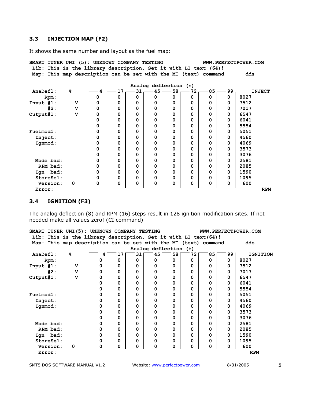# <span id="page-6-0"></span>**3.3 INJECTION MAP (F2)**

It shows the same number and layout as the fuel map:

| SMART TUNER UNI (5): UNKNOWN COMPANY TESTING<br>Lib: This is the library description. Set it with LI text (64)! |                                                            |   |          |    |   |                       |          |          |          | WWW.PERFECTPOWER.COM |
|-----------------------------------------------------------------------------------------------------------------|------------------------------------------------------------|---|----------|----|---|-----------------------|----------|----------|----------|----------------------|
| Map:                                                                                                            | This map description can be set with the MI (text) command |   |          |    |   |                       |          |          |          | dds                  |
|                                                                                                                 |                                                            |   |          |    |   | Analog deflection (%) |          |          |          |                      |
| AnaDefl:                                                                                                        | 응                                                          |   | 17       | 31 |   | $45 -$<br>58          | 72       | 85       | 99       | <b>INJECT</b>        |
| Rpm:                                                                                                            |                                                            | 0 | 0        | 0  | 0 | 0                     | 0        | 0        | $\Omega$ | 8027                 |
| Input #1:                                                                                                       | $\mathbf v$                                                | 0 | 0        | 0  | 0 | 0                     | 0        | 0        | 0        | 7512                 |
| #2:                                                                                                             | v                                                          | 0 | $\Omega$ | 0  | 0 | $\Omega$              | $\Omega$ | 0        | 0        | 7017                 |
| Output#1:                                                                                                       | v                                                          | 0 | 0        | 0  | 0 | 0                     | $\Omega$ | 0        | 0        | 6547                 |
|                                                                                                                 |                                                            | 0 | 0        | 0  | 0 | 0                     | 0        | 0        | 0        | 6041                 |
|                                                                                                                 |                                                            | 0 | 0        | 0  | 0 | 0                     | 0        | 0        | 0        | 5554                 |
| Fuelmod1:                                                                                                       |                                                            | 0 | 0        | 0  | 0 | 0                     | $\Omega$ | 0        | 0        | 5051                 |
| Inject:                                                                                                         |                                                            | 0 | $\Omega$ | 0  | 0 | 0                     | $\Omega$ | $\Omega$ | 0        | 4560                 |
| Ignmod:                                                                                                         |                                                            | 0 | 0        | 0  | 0 | 0                     | 0        | 0        | 0        | 4069                 |
|                                                                                                                 |                                                            | 0 | 0        | 0  | 0 | 0                     | 0        | 0        | 0        | 3573                 |
|                                                                                                                 |                                                            | 0 | 0        | 0  | 0 | 0                     | 0        | 0        | 0        | 3076                 |
| Mode bad:                                                                                                       |                                                            | 0 | 0        | 0  | 0 | $\Omega$              | $\Omega$ | 0        | 0        | 2581                 |
| RPM bad:                                                                                                        |                                                            | 0 | $\Omega$ | 0  | 0 | 0                     | $\Omega$ | 0        | 0        | 2085                 |
| Iqn bad:                                                                                                        |                                                            | 0 | 0        | 0  | 0 | 0                     | 0        | 0        | 0        | 1590                 |
| StoreSel:                                                                                                       |                                                            | 0 | 0        | 0  | 0 | 0                     | 0        | 0        | 0        | 1095                 |
| Version:                                                                                                        | 0                                                          | 0 | 0        | 0  | 0 | 0                     | 0        | 0        | 0        | 600                  |
| Error:                                                                                                          |                                                            |   |          |    |   |                       |          |          |          | <b>RPM</b>           |

#### **3.4 IGNITION (F3)**

The analog deflection (8) and RPM (16) steps result in 128 ignition modification sites. If not needed make all values zero! (CI command)

|              |           |   |                         | SMART TUNER UNI(5): UNKNOWN COMPANY TESTING                     |          |          |                       |          |          |    |    | WWW.PERFECTPOWER.COM |
|--------------|-----------|---|-------------------------|-----------------------------------------------------------------|----------|----------|-----------------------|----------|----------|----|----|----------------------|
|              |           |   |                         | Lib: This is the library description. Set it with LI text (64)! |          |          |                       |          |          |    |    |                      |
|              |           |   |                         | Map: This map description can be set with the MI (text) command |          |          |                       |          |          |    |    | dds                  |
|              |           |   |                         |                                                                 |          |          | Analog deflection (%) |          |          |    |    |                      |
| AnaDefl:     |           | 응 |                         | 4                                                               | 17       | 31       | 45                    | 58 I     | 72       | 85 | 99 | <b>IGNITION</b>      |
|              | Rpm:      |   |                         | 0                                                               | $\Omega$ | $\Omega$ | 0                     | $\Omega$ | 0        | 0  | 0  | 8027                 |
| Input $#1$ : |           |   | v                       | $\Omega$                                                        | $\Omega$ | $\Omega$ | 0                     | 0        | 0        | 0  | 0  | 7512                 |
|              | #2:       |   | v                       | $\Omega$                                                        | $\Omega$ | 0        | 0                     | 0        | 0        | 0  | 0  | 7017                 |
| Output#1:    |           |   | $\overline{\mathbf{v}}$ | $\Omega$                                                        | $\Omega$ | $\Omega$ | 0                     | 0        | 0        | 0  | 0  | 6547                 |
|              |           |   |                         | $\Omega$                                                        | $\Omega$ | $\Omega$ | 0                     | 0        | $\Omega$ | 0  | 0  | 6041                 |
|              |           |   |                         | $\Omega$                                                        | $\Omega$ | 0        | 0                     | 0        | 0        | 0  | 0  | 5554                 |
| Fuelmod1:    |           |   |                         | $\Omega$                                                        | $\Omega$ | $\Omega$ | 0                     | 0        | $\Omega$ | 0  | 0  | 5051                 |
| Inject:      |           |   |                         | $\Omega$                                                        | 0        | 0        | 0                     | 0        | 0        | 0  | 0  | 4560                 |
| Ignmod:      |           |   |                         | 0                                                               | $\Omega$ | 0        | 0                     | 0        | 0        | 0  | 0  | 4069                 |
|              |           |   |                         | $\Omega$                                                        | $\Omega$ | $\Omega$ | 0                     | 0        | 0        | 0  | 0  | 3573                 |
|              |           |   |                         | $\Omega$                                                        | 0        | 0        | 0                     | 0        | 0        | 0  | 0  | 3076                 |
|              | Mode bad: |   |                         | $\Omega$                                                        | $\Omega$ | $\Omega$ | 0                     | 0        | 0        | 0  | 0  | 2581                 |
|              | RPM bad:  |   |                         | $\Omega$                                                        | $\Omega$ | $\Omega$ | 0                     | 0        | 0        | 0  | 0  | 2085                 |
|              | Ign bad:  |   |                         | 0                                                               | $\Omega$ | $\Omega$ | 0                     | 0        | 0        | 0  | 0  | 1590                 |
|              | StoreSel: |   |                         | $\Omega$                                                        | 0        | 0        | 0                     | 0        | 0        | 0  | 0  | 1095                 |
|              | Version:  | 0 |                         | $\Omega$                                                        | 0        | 0        | 0                     | 0        | 0        | 0  | 0  | 600                  |
| Error:       |           |   |                         |                                                                 |          |          |                       |          |          |    |    | <b>RPM</b>           |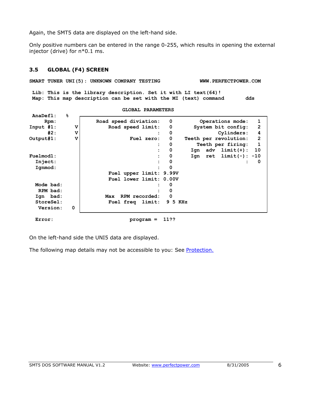<span id="page-7-0"></span>Again, the SMT5 data are displayed on the left-hand side.

Only positive numbers can be entered in the range 0-255, which results in opening the external injector (drive) for n\*0.1 ms.

#### **3.5 GLOBAL (F4) SCREEN**

SMART TUNER UNI(5): UNKNOWN COMPANY TESTING WWW.PERFECTPOWER.COM

 **Lib: This is the library description. Set it with LI text(64)! Map: This map description can be set with the MI (text) command dds** 

 **AnaDefl: % Rpm: Road speed diviation: 0 Operations mode: 1**  Input #1: V V Road speed limit: 0 System bit config: 2  **#2: V : 0 Cylinders: 4 Output#1: V Fuel zero: 0 Teeth per revolution: 2 : 0 Teeth per firing: 1 : 0 Ign adv limit(+): 10 Fuelmod1: : 0 Ign ret limit(-): -10 Inject: : 0 : 0 Ignmod:**  $\qquad \qquad |$  : 0  **Fuel upper limit: 9.99V Fuel lower limit: 0.00V Mode bad:**  $\qquad$  **:** 0 **RPM** bad:  $\qquad$  **:** 0  **Ign bad: Max RPM recorded: 0 StoreSel: Fuel freq limit: 9 5 KHz Version: 0 Error:** program = 11??

**GLOBAL PARAMETERS** 

On the left-hand side the UNI5 data are displayed.

The following map details may not be accessible to you: See **[Protection.](#page-3-0)**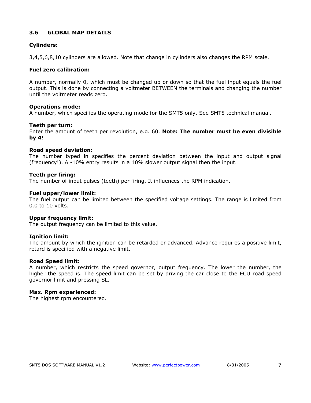# <span id="page-8-0"></span>**3.6 GLOBAL MAP DETAILS**

# **Cylinders:**

3,4,5,6,8,10 cylinders are allowed. Note that change in cylinders also changes the RPM scale.

# **Fuel zero calibration:**

A number, normally 0, which must be changed up or down so that the fuel input equals the fuel output. This is done by connecting a voltmeter BETWEEN the terminals and changing the number until the voltmeter reads zero.

# **Operations mode:**

A number, which specifies the operating mode for the SMT5 only. See SMT5 technical manual.

#### **Teeth per turn:**

Enter the amount of teeth per revolution, e.g. 60. **Note: The number must be even divisible by 4!** 

#### **Road speed deviation:**

The number typed in specifies the percent deviation between the input and output signal (frequency!). A -10% entry results in a 10% slower output signal then the input.

#### **Teeth per firing:**

The number of input pulses (teeth) per firing. It influences the RPM indication.

#### **Fuel upper/lower limit:**

The fuel output can be limited between the specified voltage settings. The range is limited from 0.0 to 10 volts.

#### **Upper frequency limit:**

The output frequency can be limited to this value.

#### **Ignition limit:**

The amount by which the ignition can be retarded or advanced. Advance requires a positive limit, retard is specified with a negative limit.

#### **Road Speed limit:**

A number, which restricts the speed governor, output frequency. The lower the number, the higher the speed is. The speed limit can be set by driving the car close to the ECU road speed governor limit and pressing SL.

#### **Max. Rpm experienced:**

The highest rpm encountered.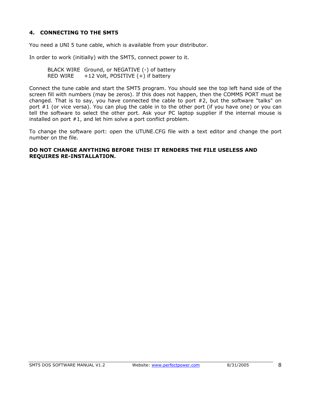# <span id="page-9-0"></span>**4. CONNECTING TO THE SMT5**

You need a UNI 5 tune cable, which is available from your distributor.

In order to work (initially) with the SMT5, connect power to it.

BLACK WIRE Ground, or NEGATIVE (-) of battery RED WIRE  $+12$  Volt, POSITIVE  $(+)$  if battery

Connect the tune cable and start the SMT5 program. You should see the top left hand side of the screen fill with numbers (may be zeros). If this does not happen, then the COMMS PORT must be changed. That is to say, you have connected the cable to port #2, but the software "talks" on port #1 (or vice versa). You can plug the cable in to the other port (if you have one) or you can tell the software to select the other port. Ask your PC laptop supplier if the internal mouse is installed on port #1, and let him solve a port conflict problem.

To change the software port: open the UTUNE.CFG file with a text editor and change the port number on the file.

#### **DO NOT CHANGE ANYTHING BEFORE THIS! IT RENDERS THE FILE USELESS AND REQUIRES RE-INSTALLATION.**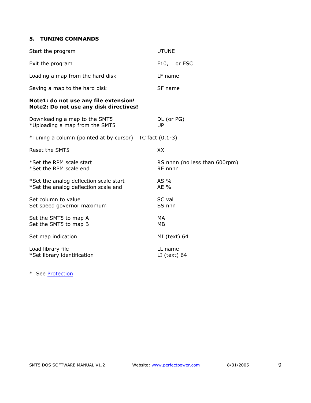#### <span id="page-10-0"></span>**5. TUNING COMMANDS**

| Start the program                                                               | <b>UTUNE</b>                             |
|---------------------------------------------------------------------------------|------------------------------------------|
| Exit the program                                                                | F10, or ESC                              |
| Loading a map from the hard disk                                                | LF name                                  |
| Saving a map to the hard disk                                                   | SF name                                  |
| Note1: do not use any file extension!<br>Note2: Do not use any disk directives! |                                          |
| Downloading a map to the SMT5<br>*Uploading a map from the SMT5                 | DL (or PG)<br>UP                         |
| *Tuning a column (pointed at by cursor) TC fact (0.1-3)                         |                                          |
| Reset the SMT5                                                                  | XX                                       |
| *Set the RPM scale start<br>*Set the RPM scale end                              | RS nnnn (no less than 600rpm)<br>RE nnnn |
| *Set the analog deflection scale start<br>*Set the analog deflection scale end  | AS %<br>AE %                             |
| Set column to value<br>Set speed governor maximum                               | SC val<br>SS nnn                         |
| Set the SMT5 to map A<br>Set the SMT5 to map B                                  | MA<br>MB                                 |
| Set map indication                                                              | MI (text) 64                             |
| Load library file<br>*Set library identification                                | LL name<br>$LI$ (text) 64                |

\* See [Protection](#page-3-0)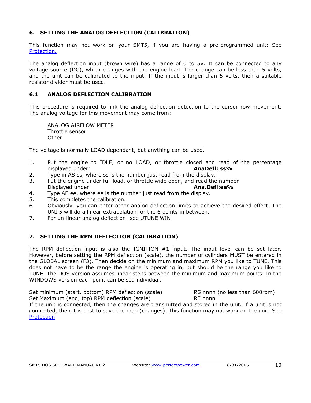# <span id="page-11-0"></span>**6. SETTING THE ANALOG DEFLECTION (CALIBRATION)**

This function may not work on your SMT5, if you are having a pre-programmed unit: See [Protection.](#page-3-0)

The analog deflection input (brown wire) has a range of 0 to 5V. It can be connected to any voltage source (DC), which changes with the engine load. The change can be less than 5 volts, and the unit can be calibrated to the input. If the input is larger than 5 volts, then a suitable resistor divider must be used.

# **6.1 ANALOG DEFLECTION CALIBRATION**

This procedure is required to link the analog deflection detection to the cursor row movement. The analog voltage for this movement may come from:

ANALOG AIRFLOW METER Throttle sensor **Other** 

The voltage is normally LOAD dependant, but anything can be used.

- 1. Put the engine to IDLE, or no LOAD, or throttle closed and read of the percentage displayed under: **AnaDefl: ss%**
- 2. Type in AS ss, where ss is the number just read from the display.
- 3. Put the engine under full load, or throttle wide open, and read the number Displayed under: **Ana.Defl:ee%**
- 4. Type AE ee, where ee is the number just read from the display.
- 5. This completes the calibration.
- 6. Obviously, you can enter other analog deflection limits to achieve the desired effect. The UNI 5 will do a linear extrapolation for the 6 points in between.
- 7. For un-linear analog deflection: see UTUNE WIN

# **7. SETTING THE RPM DEFLECTION (CALIBRATION)**

The RPM deflection input is also the IGNITION #1 input. The input level can be set later. However, before setting the RPM deflection (scale), the number of cylinders MUST be entered in the GLOBAL screen (F3). Then decide on the minimum and maximum RPM you like to TUNE. This does not have to be the range the engine is operating in, but should be the range you like to TUNE. The DOS version assumes linear steps between the minimum and maximum points. In the WINDOWS version each point can be set individual.

Set minimum (start, bottom) RPM deflection (scale) RS nnnn (no less than 600rpm) Set Maximum (end, top) RPM deflection (scale) RE nnnn

If the unit is connected, then the changes are transmitted and stored in the unit. If a unit is not connected, then it is best to save the map (changes). This function may not work on the unit. See **[Protection](#page-3-0)**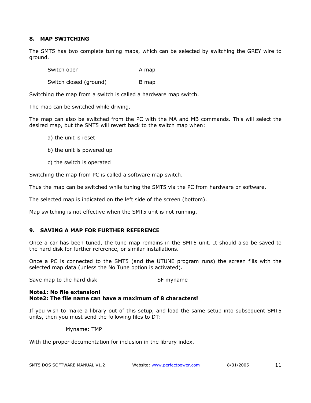#### <span id="page-12-0"></span>**8. MAP SWITCHING**

The SMT5 has two complete tuning maps, which can be selected by switching the GREY wire to ground.

Switch open A map

Switch closed (ground) B map

Switching the map from a switch is called a hardware map switch.

The map can be switched while driving.

The map can also be switched from the PC with the MA and MB commands. This will select the desired map, but the SMT5 will revert back to the switch map when:

- a) the unit is reset
- b) the unit is powered up
- c) the switch is operated

Switching the map from PC is called a software map switch.

Thus the map can be switched while tuning the SMT5 via the PC from hardware or software.

The selected map is indicated on the left side of the screen (bottom).

Map switching is not effective when the SMT5 unit is not running.

# **9. SAVING A MAP FOR FURTHER REFERENCE**

Once a car has been tuned, the tune map remains in the SMT5 unit. It should also be saved to the hard disk for further reference, or similar installations.

Once a PC is connected to the SMT5 (and the UTUNE program runs) the screen fills with the selected map data (unless the No Tune option is activated).

Save map to the hard disk Save myname

#### **Note1: No file extension! Note2: The file name can have a maximum of 8 characters!**

If you wish to make a library out of this setup, and load the same setup into subsequent SMT5 units, then you must send the following files to DT:

Myname: TMP

With the proper documentation for inclusion in the library index.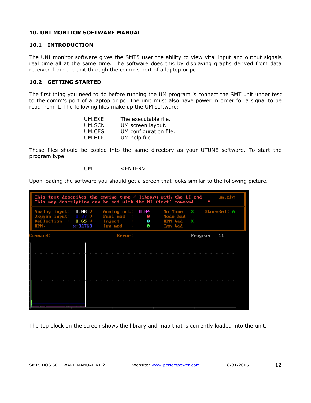#### <span id="page-13-0"></span>**10. UNI MONITOR SOFTWARE MANUAL**

# **10.1 INTRODUCTION**

The UNI monitor software gives the SMT5 user the ability to view vital input and output signals real time all at the same time. The software does this by displaying graphs derived from data received from the unit through the comm's port of a laptop or pc.

# **10.2 GETTING STARTED**

The first thing you need to do before running the UM program is connect the SMT unit under test to the comm's port of a laptop or pc. The unit must also have power in order for a signal to be read from it. The following files make up the UM software:

| UM.EXE | The executable file.   |
|--------|------------------------|
| UM.SCN | UM screen layout.      |
| UM.CFG | UM configuration file. |
| UM.HLP | UM help file.          |

These files should be copied into the same directory as your UTUNE software. To start the program type:

UM <ENTER>

Upon loading the software you should get a screen that looks similar to the following picture.

| This text describes the engine type $\ell$ library with the LI cmd<br>um.cfg<br>This map description can be set with the MI (text) command |  |                                                                                          |           |                                                       |             |  |  |  |
|--------------------------------------------------------------------------------------------------------------------------------------------|--|------------------------------------------------------------------------------------------|-----------|-------------------------------------------------------|-------------|--|--|--|
| $0.08$ V<br>Analog input:<br>Oxygen input: $0.37$ V<br>Deflection : $0.65$ V<br>RPM: $x-32768$                                             |  | Analog out: $0.04$<br>Fuel mod :<br>$Inject$ : 0<br>Ign mod $\qquad \qquad \blacksquare$ | $\bullet$ | No Tune $: X$<br>Mode bad:<br>RPM bad : X<br>Ign bad: | StoreSel: A |  |  |  |
| Command:                                                                                                                                   |  | Error:                                                                                   |           | $Program = 11$                                        |             |  |  |  |
|                                                                                                                                            |  |                                                                                          |           |                                                       |             |  |  |  |
|                                                                                                                                            |  |                                                                                          |           |                                                       |             |  |  |  |
|                                                                                                                                            |  |                                                                                          |           |                                                       |             |  |  |  |
|                                                                                                                                            |  |                                                                                          |           |                                                       |             |  |  |  |
|                                                                                                                                            |  |                                                                                          |           |                                                       |             |  |  |  |
|                                                                                                                                            |  |                                                                                          |           |                                                       |             |  |  |  |
|                                                                                                                                            |  |                                                                                          |           |                                                       |             |  |  |  |

The top block on the screen shows the library and map that is currently loaded into the unit.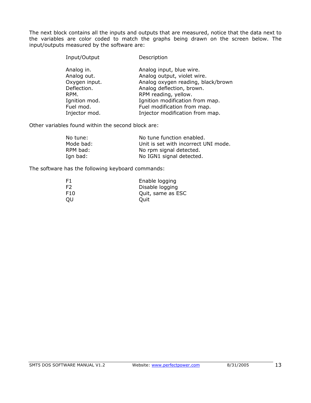The next block contains all the inputs and outputs that are measured, notice that the data next to the variables are color coded to match the graphs being drawn on the screen below. The input/outputs measured by the software are:

| Input/Output              | Description                                             |
|---------------------------|---------------------------------------------------------|
| Analog in.<br>Analog out. | Analog input, blue wire.<br>Analog output, violet wire. |
| Oxygen input.             | Analog oxygen reading, black/brown                      |
| Deflection.               | Analog deflection, brown.                               |
| RPM.                      | RPM reading, yellow.                                    |
| Ignition mod.             | Ignition modification from map.                         |
| Fuel mod.                 | Fuel modification from map.                             |
| Injector mod.             | Injector modification from map.                         |

Other variables found within the second block are:

| No tune:  | No tune function enabled.            |
|-----------|--------------------------------------|
| Mode bad: | Unit is set with incorrect UNI mode. |
| RPM bad:  | No rpm signal detected.              |
| Ign bad:  | No IGN1 signal detected.             |

The software has the following keyboard commands:

| F1              | Enable logging    |
|-----------------|-------------------|
| F2              | Disable logging   |
| F <sub>10</sub> | Quit, same as ESC |
| OU              | Ouit              |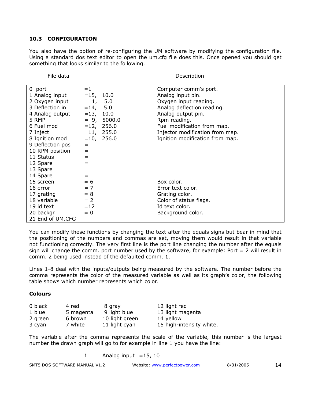#### <span id="page-15-0"></span>**10.3 CONFIGURATION**

You also have the option of re-configuring the UM software by modifying the configuration file. Using a standard dos text editor to open the um.cfg file does this. Once opened you should get something that looks similar to the following.

| File data        |                  | Description                     |
|------------------|------------------|---------------------------------|
| 0 port           | $=1$             | Computer comm's port.           |
| 1 Analog input   | $=15, 10.0$      | Analog input pin.               |
| 2 Oxygen input   | $= 1, 5.0$       | Oxygen input reading.           |
| 3 Deflection in  | $=14, 5.0$       | Analog deflection reading.      |
| 4 Analog output  | $= 13, 10.0$     | Analog output pin.              |
| 5 RMP            | $= 9,$<br>5000.0 | Rpm reading.                    |
| 6 Fuel mod       | $=12, 256.0$     | Fuel modification from map.     |
| 7 Inject         | $= 11, 255.0$    | Injector modification from map. |
| 8 Ignition mod   | $=10, 256.0$     | Ignition modification from map. |
| 9 Deflection pos | $=$              |                                 |
| 10 RPM position  | $=$              |                                 |
| 11 Status        | $=$              |                                 |
| 12 Spare         | $=$              |                                 |
| 13 Spare         | $=$              |                                 |
| 14 Spare         | $=$              |                                 |
| 15 screen        | $= 6$            | Box color.                      |
| 16 error         | $= 7$            | Error text color.               |
| 17 grating       | $= 8$            | Grating color.                  |
| 18 variable      | $= 2$            | Color of status flags.          |
| 19 id text       | $=12$            | Id text color.                  |
| 20 backgr        | $= 0$            | Background color.               |
| 21 End of UM.CFG |                  |                                 |

You can modify these functions by changing the text after the equals signs but bear in mind that the positioning of the numbers and commas are set, moving them would result in that variable not functioning correctly. The very first line is the port line changing the number after the equals sign will change the comm. port number used by the software, for example: Port  $= 2$  will result in comm. 2 being used instead of the defaulted comm. 1.

Lines 1-8 deal with the inputs/outputs being measured by the software. The number before the comma represents the color of the measured variable as well as its graph's color, the following table shows which number represents which color.

#### **Colours**

| 0 black | 4 red     | 8 gray         | 12 light red             |
|---------|-----------|----------------|--------------------------|
| 1 blue  | 5 magenta | 9 light blue   | 13 light magenta         |
| 2 green | 6 brown   | 10 light green | 14 yellow                |
| 3 cyan  | 7 white   | 11 light cyan  | 15 high-intensity white. |

The variable after the comma represents the scale of the variable, this number is the largest number the drawn graph will go to for example in line 1 you have the line:

1 Analog input  $=15, 10$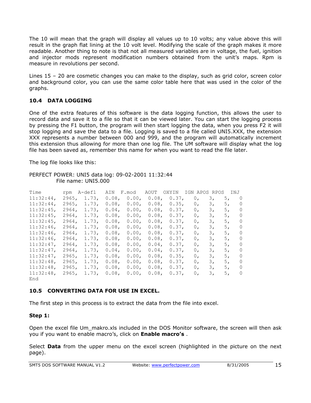<span id="page-16-0"></span>The 10 will mean that the graph will display all values up to 10 volts; any value above this will result in the graph flat lining at the 10 volt level. Modifying the scale of the graph makes it more readable. Another thing to note is that not all measured variables are in voltage, the fuel, ignition and injector mods represent modification numbers obtained from the unit's maps. Rpm is measure in revolutions per second.

Lines 15 – 20 are cosmetic changes you can make to the display, such as grid color, screen color and background color, you can use the same color table here that was used in the color of the graphs.

# **10.4 DATA LOGGING**

One of the extra features of this software is the data logging function, this allows the user to record data and save it to a file so that it can be viewed later. You can start the logging process by pressing the F1 button, the program will then start logging the data, when you press F2 it will stop logging and save the data to a file. Logging is saved to a file called UNI5.XXX, the extension XXX represents a number between 000 and 999, and the program will automatically increment this extension thus allowing for more than one log file. The UM software will display what the log file has been saved as, remember this name for when you want to read the file later.

The log file looks like this:

#### PERFECT POWER: UNI5 data log: 09-02-2001 11:32:44 File name: UNI5.000

| Time         | rpm   | A-defl | AIN      | F.mod    | AOUT     | OXYIN    | IGN APOS       | RPOS | INJ |                |
|--------------|-------|--------|----------|----------|----------|----------|----------------|------|-----|----------------|
| $11:32:44$ , | 2965. | 1.73.  | $0.08$ , | 0.00.    | $0.08$ , | 0.37.    | 0 <sub>r</sub> | 3,   | 5,  | $\Omega$       |
| $11:32:44$ , | 2965. | 1.73.  | $0.08$ , | $0.00$ , | 0.08,    | 0.35.    | 0 <sub>r</sub> | 3,   | 5,  | 0              |
| $11:32:45$ , | 2964, | 1.73.  | $0.04$ , | 0.00.    | $0.08$ , | 0.37.    | 0,             | 3,   | 5,  | 0              |
| $11:32:45$ , | 2964, | 1.73.  | 0.08.    | 0.00.    | $0.08$ , | 0.37.    | 0,             | 3,   | 5,  | 0              |
| $11:32:45$ , | 2964. | 1.73.  | $0.08$ , | 0.00.    | $0.08$ , | 0.37.    | 0,             | 3,   | 5,  | $\mathbf 0$    |
| $11:32:46$ , | 2964. | 1.73.  | $0.08$ , | 0.00.    | 0.08,    | 0.37.    | 0,             | З,   | 5,  | 0              |
| $11:32:46$ , | 2964, | 1.73.  | $0.08$ , | 0.00.    | $0.08$ , | 0.37.    | 0,             | З,   | 5,  | 0              |
| $11:32:46$ , | 2964, | 1.73.  | $0.08$ , | 0.00.    | $0.08$ , | 0.37,    | 0,             | 3,   | 5,  | 0              |
| $11:32:47$ , | 2964, | 1.73.  | $0.08$ , | 0.00.    | $0.04$ , | 0.37.    | 0,             | З,   | 5,  | $\circ$        |
| $11:32:47$ , | 2964, | 1.73.  | 0.04.    | 0.00.    | $0.04$ , | 0.37.    | 0,             | З,   | 5,  | 0              |
| $11:32:47$ , | 2965. | 1.73.  | $0.08$ , | 0.00.    | $0.08$ , | $0.35$ , | 0,             | 3,   | 5,  | $\overline{0}$ |
| $11:32:48$ , | 2965. | 1.73.  | $0.08$ , | 0.00.    | 0.08,    | 0.37.    | 0,             | 3,   | 5,  | $\mathbf 0$    |
| 11:32:48     | 2965, | 1.73.  | $0.08$ , | 0.00.    | $0.08$ , | 0.37.    | 0,             | 3,   | 5,  | $\mathbf 0$    |
| $11:32:48$ , | 2965. | 1.73.  | $0.08$ , | 0.00.    | $0.08$ , | 0.37,    | 0,             | 3,   | 5,  | 0              |
| End          |       |        |          |          |          |          |                |      |     |                |

# **10.5 CONVERTING DATA FOR USE IN EXCEL.**

The first step in this process is to extract the data from the file into excel.

# **Step 1:**

Open the excel file Um\_makro.xls included in the DOS Monitor software, the screen will then ask you if you want to enable macro's, click on **Enable macro's** .

Select **Data** from the upper menu on the excel screen (highlighted in the picture on the next page).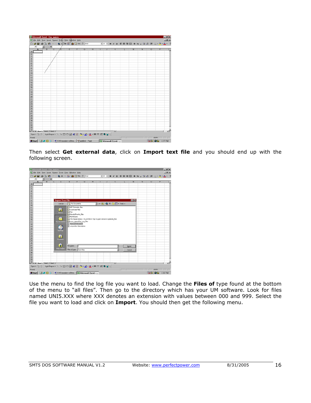| <b>El Microsoft Excel - Um_makro</b>               |                |                |                |                                                                                                                                                       |  |   |   |              |                                                    |          |   |   |         |                    | $H = 15$     |
|----------------------------------------------------|----------------|----------------|----------------|-------------------------------------------------------------------------------------------------------------------------------------------------------|--|---|---|--------------|----------------------------------------------------|----------|---|---|---------|--------------------|--------------|
|                                                    |                |                |                | <sup>16</sup> Eds Eds View Insert Format Toels Data Window Help                                                                                       |  |   |   |              |                                                    |          |   |   |         |                    | $H^s$        |
|                                                    |                |                |                |                                                                                                                                                       |  |   |   |              | ■ 10 ■ B J B ■ 三 三 田田 \$ % , 28.23 ま 田 · ウ · △ · 芒 |          |   |   |         |                    |              |
| A1                                                 |                |                | $\blacksquare$ |                                                                                                                                                       |  |   |   |              |                                                    |          |   |   |         |                    |              |
|                                                    | $\overline{A}$ | $\overline{B}$ | $\overline{c}$ | Æ                                                                                                                                                     |  | G | н | $\mathbf{J}$ | ĸ                                                  |          | M | N | $\circ$ | P                  | $G_{\infty}$ |
| $\mathbf{1}$                                       |                |                |                |                                                                                                                                                       |  |   |   |              |                                                    |          |   |   |         |                    |              |
| 20020020                                           |                |                |                |                                                                                                                                                       |  |   |   |              |                                                    |          |   |   |         |                    |              |
|                                                    |                |                |                |                                                                                                                                                       |  |   |   |              |                                                    |          |   |   |         |                    |              |
|                                                    |                |                |                |                                                                                                                                                       |  |   |   |              |                                                    |          |   |   |         |                    |              |
|                                                    |                |                |                |                                                                                                                                                       |  |   |   |              |                                                    |          |   |   |         |                    |              |
|                                                    |                |                |                |                                                                                                                                                       |  |   |   |              |                                                    |          |   |   |         |                    |              |
|                                                    |                |                |                |                                                                                                                                                       |  |   |   |              |                                                    |          |   |   |         |                    |              |
|                                                    |                |                |                |                                                                                                                                                       |  |   |   |              |                                                    |          |   |   |         |                    |              |
| $\frac{11}{12}$                                    |                |                |                |                                                                                                                                                       |  |   |   |              |                                                    |          |   |   |         |                    |              |
| 13                                                 |                |                |                |                                                                                                                                                       |  |   |   |              |                                                    |          |   |   |         |                    |              |
|                                                    |                |                |                |                                                                                                                                                       |  |   |   |              |                                                    |          |   |   |         |                    |              |
| $\frac{14}{15}$                                    |                |                |                |                                                                                                                                                       |  |   |   |              |                                                    |          |   |   |         |                    |              |
|                                                    |                |                |                |                                                                                                                                                       |  |   |   |              |                                                    |          |   |   |         |                    |              |
|                                                    |                |                |                |                                                                                                                                                       |  |   |   |              |                                                    |          |   |   |         |                    |              |
|                                                    |                |                |                |                                                                                                                                                       |  |   |   |              |                                                    |          |   |   |         |                    |              |
|                                                    |                |                |                |                                                                                                                                                       |  |   |   |              |                                                    |          |   |   |         |                    |              |
|                                                    |                |                |                |                                                                                                                                                       |  |   |   |              |                                                    |          |   |   |         |                    |              |
|                                                    |                |                |                |                                                                                                                                                       |  |   |   |              |                                                    |          |   |   |         |                    |              |
|                                                    |                |                |                |                                                                                                                                                       |  |   |   |              |                                                    |          |   |   |         |                    |              |
|                                                    |                |                |                |                                                                                                                                                       |  |   |   |              |                                                    |          |   |   |         |                    |              |
|                                                    |                |                |                |                                                                                                                                                       |  |   |   |              |                                                    |          |   |   |         |                    |              |
| 17 18 19 20 21 22 23 24 25 26 27 28 29 30 31 32 33 |                |                |                |                                                                                                                                                       |  |   |   |              |                                                    |          |   |   |         |                    |              |
|                                                    |                |                |                |                                                                                                                                                       |  |   |   |              |                                                    |          |   |   |         |                    |              |
|                                                    |                |                |                |                                                                                                                                                       |  |   |   |              |                                                    |          |   |   |         |                    |              |
|                                                    |                |                |                |                                                                                                                                                       |  |   |   |              |                                                    |          |   |   |         |                    |              |
|                                                    |                |                |                |                                                                                                                                                       |  |   |   |              |                                                    |          |   |   |         |                    |              |
|                                                    |                |                |                |                                                                                                                                                       |  |   |   |              |                                                    |          |   |   |         |                    |              |
| 34<br>N 4 9 H) Sheet1 (Sheet2 / Sheet3 /           |                |                |                |                                                                                                                                                       |  |   |   |              | $\mathbb{R}$                                       |          |   |   |         |                    | хΙГ          |
|                                                    |                |                |                | $\boxed{\text{D}}_{\text{E}}$ $\boxed{\text{D}}_{\text{E}}$ $\boxed{\text{D}}_{\text{E}}$ $\boxed{\text{D}}_{\text{E}}$ $\boxed{\text{D}}_{\text{E}}$ |  |   |   |              |                                                    |          |   |   |         |                    |              |
| Ready                                              |                |                |                |                                                                                                                                                       |  |   |   |              |                                                    | $\Gamma$ |   |   | N.M     |                    | a province   |
|                                                    |                |                |                | R Start   2 0 0 9   8 UNI monitor softwa   Yuntilled - Paint                                                                                          |  |   |   |              | Microsoft Excel -                                  |          |   |   |         | <b>BACQA</b> 157PM |              |
|                                                    |                |                |                |                                                                                                                                                       |  |   |   |              |                                                    |          |   |   |         |                    |              |

Then select **Get external data**, click on **Import text file** and you should end up with the following screen.

| El Microsoft Excel - Um makro                                                           |                |                |                             |   |              |                             |                                                                    |   |  |                                                                                                                                                                                                   |    |           |   |                |   | $-16$ X       |
|-----------------------------------------------------------------------------------------|----------------|----------------|-----------------------------|---|--------------|-----------------------------|--------------------------------------------------------------------|---|--|---------------------------------------------------------------------------------------------------------------------------------------------------------------------------------------------------|----|-----------|---|----------------|---|---------------|
| <sup>86</sup> Eds Edit View Insert Format Tools Data Window Help                        |                |                |                             |   |              |                             |                                                                    |   |  |                                                                                                                                                                                                   |    |           |   |                |   | $\frac{1}{2}$ |
| □ 金目 毎 Q 15 ☆ ● ∑ ☆ 3   11 ① 7= ♡ ☆ ☆                                                   |                |                |                             |   |              |                             |                                                                    |   |  | ■10 ■ B J U ■ 著 書 国 \$ % , % % 保 田 - ◇ - △ - <sup>2</sup>                                                                                                                                         |    |           |   |                |   |               |
| A1                                                                                      | 뒥              | $\blacksquare$ |                             |   |              |                             |                                                                    |   |  |                                                                                                                                                                                                   |    |           |   |                |   |               |
| $\mathbf{A}$                                                                            | $\overline{B}$ | $\overline{c}$ | $\overline{D}$              | E |              | F                           | $\overline{G}$                                                     | н |  | к                                                                                                                                                                                                 |    | M         | N | $\overline{0}$ | P | $C_{\infty}$  |
|                                                                                         |                |                |                             |   |              |                             |                                                                    |   |  |                                                                                                                                                                                                   |    |           |   |                |   |               |
| $\frac{2}{3}$                                                                           |                |                |                             |   |              |                             |                                                                    |   |  |                                                                                                                                                                                                   |    |           |   |                |   |               |
| $\overline{4}$                                                                          |                |                |                             |   |              |                             |                                                                    |   |  |                                                                                                                                                                                                   |    |           |   |                |   |               |
|                                                                                         |                |                |                             |   |              |                             |                                                                    |   |  |                                                                                                                                                                                                   |    |           |   |                |   |               |
| $\frac{5}{6}$<br>$\overline{\mathcal{I}}$                                               |                |                |                             |   |              |                             |                                                                    |   |  |                                                                                                                                                                                                   |    |           |   |                |   |               |
|                                                                                         |                |                | <b>Import Text File</b>     |   |              |                             |                                                                    |   |  |                                                                                                                                                                                                   |    | <b>78</b> |   |                |   |               |
| $\frac{8}{9}$                                                                           |                |                |                             |   |              |                             |                                                                    |   |  |                                                                                                                                                                                                   |    |           |   |                |   |               |
| 10                                                                                      |                |                | Look in:                    |   |              | <sup>S</sup> My Documents   |                                                                    |   |  | $\blacksquare$ $\rightarrow$ $\blacksquare$ $\blacksquare$ $\blacksquare$ $\blacksquare$ $\blacksquare$ $\blacksquare$ $\blacksquare$ $\blacksquare$ $\blacksquare$ $\blacksquare$ $\blacksquare$ |    |           |   |                |   |               |
| 11                                                                                      |                |                |                             |   |              | AFC Printable Files         |                                                                    |   |  |                                                                                                                                                                                                   |    |           |   |                |   |               |
|                                                                                         |                |                | â                           |   |              | Corel User Files            |                                                                    |   |  |                                                                                                                                                                                                   |    |           |   |                |   |               |
| $\frac{12}{13}$                                                                         |                |                | History                     |   | <b>ELEAG</b> |                             |                                                                    |   |  |                                                                                                                                                                                                   |    |           |   |                |   |               |
| 14                                                                                      |                |                |                             |   | My Pictures  | Howstuffworks_files         |                                                                    |   |  |                                                                                                                                                                                                   |    |           |   |                |   |               |
| 15                                                                                      |                |                | ≏                           |   |              |                             | The Repair Library - 03_03 HEGO Trip Oxygen Sensors Explained_Fles |   |  |                                                                                                                                                                                                   |    |           |   |                |   |               |
| $\frac{16}{17}$                                                                         |                |                | My Document:                |   |              |                             | www_openoffice_org_files                                           |   |  |                                                                                                                                                                                                   |    |           |   |                |   |               |
|                                                                                         |                |                |                             |   |              | II Rescued document         |                                                                    |   |  |                                                                                                                                                                                                   |    |           |   |                |   |               |
| $\frac{18}{19}$                                                                         |                |                |                             |   |              | III uni product description |                                                                    |   |  |                                                                                                                                                                                                   |    |           |   |                |   |               |
| $\frac{20}{21}$                                                                         |                |                | $\mathbf{G}$                |   |              |                             |                                                                    |   |  |                                                                                                                                                                                                   |    |           |   |                |   |               |
|                                                                                         |                |                |                             |   |              |                             |                                                                    |   |  |                                                                                                                                                                                                   |    |           |   |                |   |               |
|                                                                                         |                |                |                             |   |              |                             |                                                                    |   |  |                                                                                                                                                                                                   |    |           |   |                |   |               |
|                                                                                         |                |                | $\frac{1}{\sqrt{2}}$        |   |              |                             |                                                                    |   |  |                                                                                                                                                                                                   |    |           |   |                |   |               |
|                                                                                         |                |                |                             |   |              |                             |                                                                    |   |  |                                                                                                                                                                                                   |    |           |   |                |   |               |
|                                                                                         |                |                |                             |   |              |                             |                                                                    |   |  |                                                                                                                                                                                                   |    |           |   |                |   |               |
| 23 24 25 26 27 28                                                                       |                |                | $\frac{\bullet}{\text{wcb}$ |   | File name:   |                             |                                                                    |   |  |                                                                                                                                                                                                   |    | Import    |   |                |   |               |
|                                                                                         |                |                |                             |   |              |                             |                                                                    |   |  | Ľ                                                                                                                                                                                                 |    |           |   |                |   |               |
| 29                                                                                      |                |                |                             |   |              | Files of type: Text Files   |                                                                    |   |  | E                                                                                                                                                                                                 |    | Cancel    |   |                |   |               |
|                                                                                         |                |                |                             |   |              |                             |                                                                    |   |  |                                                                                                                                                                                                   |    |           |   |                |   |               |
|                                                                                         |                |                |                             |   |              |                             |                                                                    |   |  |                                                                                                                                                                                                   |    |           |   |                |   |               |
| 33 33 33                                                                                |                |                |                             |   |              |                             |                                                                    |   |  |                                                                                                                                                                                                   |    |           |   |                |   |               |
|                                                                                         |                |                |                             |   |              |                             |                                                                    |   |  |                                                                                                                                                                                                   |    |           |   |                |   |               |
| 34           Sheet1 / Sheet2 / Sheet3 /                                                 |                |                |                             |   |              |                             |                                                                    |   |  | <b>IKI</b>                                                                                                                                                                                        |    |           |   |                |   | хıг           |
| Draw - by G AutoShapes - ヽヽ□○図400 - ノ - △ - 三三三日日.                                      |                |                |                             |   |              |                             |                                                                    |   |  |                                                                                                                                                                                                   |    |           |   |                |   |               |
| Ready                                                                                   |                |                |                             |   |              |                             |                                                                    |   |  |                                                                                                                                                                                                   | IE |           |   | <b>N.M</b>     |   |               |
| <b>R</b> Start   (2) $\bullet$   8   9   8   UNI monitor softwa   8   Microsoft Excel - |                |                |                             |   |              |                             |                                                                    |   |  |                                                                                                                                                                                                   |    |           |   | <b>3800A</b>   |   | 1:30 PM       |
|                                                                                         |                |                |                             |   |              |                             |                                                                    |   |  |                                                                                                                                                                                                   |    |           |   |                |   |               |

Use the menu to find the log file you want to load. Change the **Files of** type found at the bottom of the menu to "all files". Then go to the directory which has your UM software. Look for files named UNI5.XXX where XXX denotes an extension with values between 000 and 999. Select the file you want to load and click on **Import**. You should then get the following menu.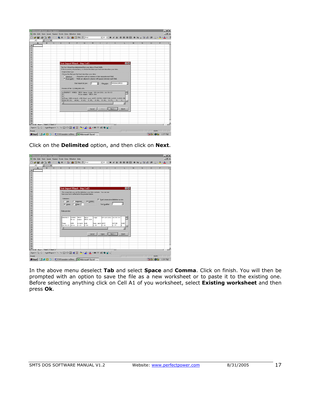| El Microsoft Excel - Um makro                                                 |   |                |   |   |                                   |   |                      |                                                                                                                                           |          |              |                |                                                  |   |   |                     |   | $    x$        |
|-------------------------------------------------------------------------------|---|----------------|---|---|-----------------------------------|---|----------------------|-------------------------------------------------------------------------------------------------------------------------------------------|----------|--------------|----------------|--------------------------------------------------|---|---|---------------------|---|----------------|
| <sup>16</sup> Ede Edit Yiew Insert Format Tools Data Window Help              |   |                |   |   |                                   |   |                      |                                                                                                                                           |          |              |                |                                                  |   |   |                     |   | $-10x$         |
| <b>D G 国 ⊕ Q 图 つ · 图 Σ / 3   图 ⑦ 7 · 2   AN</b>                               |   |                |   |   |                                   |   |                      |                                                                                                                                           |          |              |                | ■10 ■ B J U ■ 著 編 图 \$ % , % . % 使 图 - ◇ - △ - 译 |   |   |                     |   |                |
| A1                                                                            | 회 | $\blacksquare$ |   |   |                                   |   |                      |                                                                                                                                           |          |              |                |                                                  |   |   |                     |   |                |
| A                                                                             |   | B              | C | D | E                                 | F | $\overline{G}$       | н                                                                                                                                         |          | u            | к              |                                                  | M | N | $\overline{0}$      | P | $\overline{C}$ |
| 1                                                                             |   |                |   |   |                                   |   |                      |                                                                                                                                           |          |              |                |                                                  |   |   |                     |   |                |
| 3                                                                             |   |                |   |   |                                   |   |                      |                                                                                                                                           |          |              |                |                                                  |   |   |                     |   |                |
| $\overline{4}$                                                                |   |                |   |   |                                   |   |                      |                                                                                                                                           |          |              |                |                                                  |   |   |                     |   |                |
| $\frac{5}{6}$                                                                 |   |                |   |   |                                   |   |                      |                                                                                                                                           |          |              |                |                                                  |   |   |                     |   |                |
|                                                                               |   |                |   |   |                                   |   |                      |                                                                                                                                           |          |              |                |                                                  |   |   |                     |   |                |
| $\overline{7}$                                                                |   |                |   |   |                                   |   |                      |                                                                                                                                           |          |              |                |                                                  |   |   |                     |   |                |
| 8<br>$\overline{9}$                                                           |   |                |   |   | Text Import Wizard - Step 1 of 3  |   |                      |                                                                                                                                           |          |              |                | 7X                                               |   |   |                     |   |                |
| 10                                                                            |   |                |   |   |                                   |   |                      | The Text Wizard has determined that your data is Fixed Width.                                                                             |          |              |                |                                                  |   |   |                     |   |                |
| 11                                                                            |   |                |   |   |                                   |   |                      | If this is correct, choose Next, or choose the data type that best describes your data.                                                   |          |              |                |                                                  |   |   |                     |   |                |
| $\frac{12}{13}$                                                               |   |                |   |   | Original data type                |   |                      |                                                                                                                                           |          |              |                |                                                  |   |   |                     |   |                |
|                                                                               |   |                |   |   |                                   |   |                      | Choose the file type that best describes your data:                                                                                       |          |              |                |                                                  |   |   |                     |   |                |
| 15                                                                            |   |                |   |   | C Delinited                       |   |                      | - Characters such as commas or tabs separate each field.<br>(Fixed width) - Fields are aligned in columns with spaces between each field. |          |              |                |                                                  |   |   |                     |   |                |
| 16                                                                            |   |                |   |   |                                   |   |                      |                                                                                                                                           |          |              |                |                                                  |   |   |                     |   |                |
| 17                                                                            |   |                |   |   |                                   |   | Start import at cow: | I.                                                                                                                                        | 긬        | File grigin: | Windows (ANSI) | 因                                                |   |   |                     |   |                |
|                                                                               |   |                |   |   |                                   |   |                      |                                                                                                                                           |          |              |                |                                                  |   |   |                     |   |                |
|                                                                               |   |                |   |   | Preview of file C:\TUNE\UNIS.00S. |   |                      |                                                                                                                                           |          |              |                |                                                  |   |   |                     |   |                |
| 1922 1923 1924 1925 1925 1925 1926 1927 1928                                  |   |                |   |   |                                   |   |                      | 1 DEDFECT POWER: UNIS data logg: 09-14-2001 14:50:53                                                                                      |          |              |                |                                                  |   |   |                     |   |                |
|                                                                               |   |                |   | Ě |                                   |   |                      | File name: UNIS.005                                                                                                                       |          |              |                |                                                  |   |   |                     |   |                |
|                                                                               |   |                |   |   |                                   |   |                      | 4 Time, DPH, A-defl, AIN, Fuel. mod, AGUT, ONVIN, IGNITION, A-POS, R-POS, IN.                                                             |          |              |                |                                                  |   |   |                     |   |                |
|                                                                               |   |                |   |   |                                   |   |                      | 514:50:53, 4614, 0.63, 0.00, 0.00, 0.00, 0.37, 0, 1,                                                                                      |          |              |                | мI                                               |   |   |                     |   |                |
|                                                                               |   |                |   | × |                                   |   |                      |                                                                                                                                           |          |              |                |                                                  |   |   |                     |   |                |
|                                                                               |   |                |   |   |                                   |   |                      |                                                                                                                                           |          |              |                |                                                  |   |   |                     |   |                |
|                                                                               |   |                |   |   |                                   |   |                      | Cancel                                                                                                                                    | $<$ Back |              | Next >         | <b>Brish</b>                                     |   |   |                     |   |                |
|                                                                               |   |                |   |   |                                   |   |                      |                                                                                                                                           |          |              |                |                                                  |   |   |                     |   |                |
|                                                                               |   |                |   |   |                                   |   |                      |                                                                                                                                           |          |              |                |                                                  |   |   |                     |   |                |
|                                                                               |   |                |   |   |                                   |   |                      |                                                                                                                                           |          |              |                |                                                  |   |   |                     |   |                |
|                                                                               |   |                |   |   |                                   |   |                      |                                                                                                                                           |          |              |                |                                                  |   |   |                     |   |                |
| 33                                                                            |   |                |   |   |                                   |   |                      |                                                                                                                                           |          |              |                |                                                  |   |   |                     |   |                |
| 34           Sheet1 / Sheet2 / Sheet3 /                                       |   |                |   |   |                                   |   |                      |                                                                                                                                           |          |              | <b>IEKE</b>    |                                                  |   |   |                     |   | нΓ             |
| Draw - b & AgtoShapes - \ \ $\Box$ O 2 4 0 3 - 4 - $\Delta$ - = = = = = 0 6 - |   |                |   |   |                                   |   |                      |                                                                                                                                           |          |              |                |                                                  |   |   |                     |   |                |
| Ready                                                                         |   |                |   |   |                                   |   |                      |                                                                                                                                           |          |              |                |                                                  |   |   | NUM I               |   |                |
| Start   8 0 9   DNI monitor softwa   8 Microsoft Excel -                      |   |                |   |   |                                   |   |                      |                                                                                                                                           |          |              |                |                                                  |   |   | <b>BACQA</b> 137 PM |   |                |

Click on the **Delimited** option, and then click on **Next**.

| El Microsoft Excel - Um makro                          |                                                                                                        | $-10X$      |
|--------------------------------------------------------|--------------------------------------------------------------------------------------------------------|-------------|
| [6] Eds Edit Yiew Insert Format Tools Data Window Help |                                                                                                        | $-10x$      |
|                                                        | ■ 10 ■ B J U ■ 著理图 \$ %, 28.23 家 田 - 少 - △ - 芒<br><b>D 28 日 48 Q 18 つ 1 色 2 / 3   細 2 7 = ?   Atal</b> |             |
| A1<br>$\blacksquare$<br>B<br>$\mathbb{C}$              | $\overline{D}$<br>E<br>$\overline{0}$<br>F<br>$\overline{G}$<br>н<br>P<br>к<br>M<br>N                  |             |
| A                                                      |                                                                                                        | $C_{\star}$ |
| 2                                                      |                                                                                                        |             |
| $\overline{3}$                                         |                                                                                                        |             |
| A                                                      |                                                                                                        |             |
| 5<br>$\overline{6}$                                    |                                                                                                        |             |
| $\overline{7}$                                         |                                                                                                        |             |
| B                                                      |                                                                                                        |             |
| 9                                                      | 7X<br>Text Import Wizard - Step 2 of 3                                                                 |             |
| 10                                                     | This screen lets you set the delmiters your data contains. You can see                                 |             |
| 11                                                     | how your text is affected in the preview below.                                                        |             |
| 12<br>13                                               | Delmiters                                                                                              |             |
| 14                                                     | Treat consecutive delimiters as one<br>$\Gamma$ Isb<br><b>F</b> Semicolon<br><b>P</b> Conma            |             |
| 15                                                     | Ξ<br>F other:<br>IV Space<br>Text gualifier:                                                           |             |
| 16                                                     |                                                                                                        |             |
| 17                                                     |                                                                                                        |             |
| 18<br>19                                               | Data preview                                                                                           |             |
|                                                        |                                                                                                        |             |
| $\frac{20}{21}$<br>$\frac{22}{23}$                     | <b>UNIS</b><br>09-14-2001 14:50:53<br><b>DEBFECT</b><br><b>POWER:</b><br>dana.<br>Logg:<br>╒           |             |
|                                                        | DMIS. OOS<br>File<br>nase:                                                                             |             |
|                                                        | <b>ATM</b><br>Fuel. and AOUT<br>OXYIN<br><b>IGMI</b><br>Time<br><b>D.D.N</b><br>A-defi                 |             |
| $\frac{24}{25}$                                        | 14:50:53 4614<br>0.63<br>b.08<br>b.co<br>0.00<br>0.37<br>×                                             |             |
|                                                        | ×<br>٠                                                                                                 |             |
| 27                                                     |                                                                                                        |             |
| 28                                                     | $\prec$ Back.<br>Next ><br>Cancel<br><b>Brish</b>                                                      |             |
| 29                                                     |                                                                                                        |             |
| 30                                                     |                                                                                                        |             |
| 31<br>32                                               |                                                                                                        |             |
| 33                                                     |                                                                                                        |             |
| 34                                                     |                                                                                                        |             |
| H 4 B BIX Sheet1 / Sheet2 / Sheet3 /                   | IкI                                                                                                    | хC          |
|                                                        |                                                                                                        |             |
|                                                        | Druw - by G   AutoShapes - ヽヽ□○図41回 o - <u>ノ</u> - △ - 三三弓目目。                                          |             |
| Ready                                                  | N.M                                                                                                    |             |

In the above menu deselect **Tab** and select **Space** and **Comma**. Click on finish. You will then be prompted with an option to save the file as a new worksheet or to paste it to the existing one. Before selecting anything click on Cell A1 of you worksheet, select **Existing worksheet** and then press **Ok**.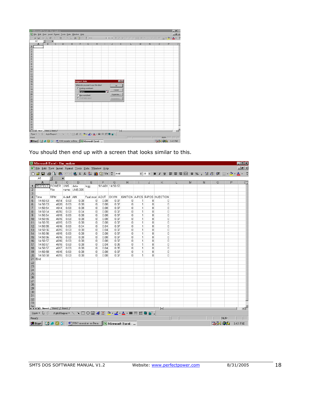| El Microxoft Excel - Um makro       |   |               |                                                               |   |                    |                                 |                                    |               |                                         |           |   |   |                       |     | $-17 \times$ |
|-------------------------------------|---|---------------|---------------------------------------------------------------|---|--------------------|---------------------------------|------------------------------------|---------------|-----------------------------------------|-----------|---|---|-----------------------|-----|--------------|
|                                     |   |               | [A] Eds Eds View Insert Format Tools Data Window Help         |   |                    |                                 |                                    |               |                                         |           |   |   |                       |     | $-10 \times$ |
|                                     |   |               | 日报日 保政 医中心性无人科 地图中学 ANK                                       |   |                    |                                 |                                    |               | → 10 → 10 → 11 日三三田 8 %, 公務年田 ◎ • △ • 芒 |           |   |   |                       |     |              |
| At<br>$\Lambda$                     | B | $\equiv$<br>c | D                                                             | E | F                  | G                               | н                                  |               | K                                       |           | M | N | $\circ$               | p   | $C_{\infty}$ |
| 4                                   |   |               |                                                               |   |                    |                                 |                                    |               |                                         |           |   |   |                       |     |              |
|                                     |   |               |                                                               |   |                    |                                 |                                    |               |                                         |           |   |   |                       |     |              |
|                                     |   |               |                                                               |   |                    |                                 |                                    |               |                                         |           |   |   |                       |     |              |
|                                     |   |               |                                                               |   |                    |                                 |                                    |               |                                         |           |   |   |                       |     |              |
|                                     |   |               |                                                               |   |                    |                                 |                                    |               |                                         |           |   |   |                       |     |              |
|                                     |   |               |                                                               |   |                    |                                 |                                    |               |                                         |           |   |   |                       |     |              |
|                                     |   |               |                                                               |   |                    |                                 |                                    |               |                                         |           |   |   |                       |     |              |
|                                     |   |               |                                                               |   |                    |                                 |                                    |               |                                         |           |   |   |                       |     |              |
|                                     |   |               |                                                               |   |                    |                                 |                                    |               |                                         |           |   |   |                       |     |              |
|                                     |   |               |                                                               |   |                    |                                 |                                    |               |                                         |           |   |   |                       |     |              |
|                                     |   |               |                                                               |   |                    |                                 |                                    |               |                                         |           |   |   |                       |     |              |
|                                     |   |               |                                                               |   |                    |                                 |                                    |               |                                         |           |   |   |                       |     |              |
| 2.3.4.5.67.8.9.10.11.12.13.14.15.16 |   |               |                                                               |   | <b>Import Data</b> |                                 |                                    |               | 7K                                      |           |   |   |                       |     |              |
|                                     |   |               |                                                               |   |                    |                                 | Where do you want to put the data? |               | $\alpha$                                |           |   |   |                       |     |              |
|                                     |   |               |                                                               |   |                    | <sup>6</sup> Disting worksheet: |                                    |               |                                         |           |   |   |                       |     |              |
|                                     |   |               |                                                               |   |                    |                                 |                                    |               | Cancel                                  |           |   |   |                       |     |              |
| 1333999982838293223229995           |   |               |                                                               |   | $-1451$            |                                 |                                    |               | Properties                              |           |   |   |                       |     |              |
|                                     |   |               |                                                               |   |                    | C New worksheet                 |                                    |               |                                         |           |   |   |                       |     |              |
|                                     |   |               |                                                               |   |                    | C PivotTable report             |                                    | Flaturanters. |                                         |           |   |   |                       |     |              |
|                                     |   |               |                                                               |   |                    |                                 |                                    |               |                                         |           |   |   |                       |     |              |
|                                     |   |               |                                                               |   |                    |                                 |                                    |               |                                         |           |   |   |                       |     |              |
|                                     |   |               |                                                               |   |                    |                                 |                                    |               |                                         |           |   |   |                       |     |              |
|                                     |   |               |                                                               |   |                    |                                 |                                    |               |                                         |           |   |   |                       |     |              |
|                                     |   |               |                                                               |   |                    |                                 |                                    |               |                                         |           |   |   |                       |     |              |
|                                     |   |               |                                                               |   |                    |                                 |                                    |               |                                         |           |   |   |                       |     |              |
|                                     |   |               |                                                               |   |                    |                                 |                                    |               |                                         |           |   |   |                       |     |              |
|                                     |   |               |                                                               |   |                    |                                 |                                    |               |                                         |           |   |   |                       |     |              |
|                                     |   |               |                                                               |   |                    |                                 |                                    |               |                                         |           |   |   |                       |     |              |
| $-34$                               |   |               |                                                               |   |                    |                                 |                                    |               |                                         |           |   |   |                       |     |              |
| H 4 B BI\ Sheet1 (Sheet2 / Sheet3 / |   |               |                                                               |   |                    |                                 |                                    |               | <b>Ist</b>                              |           |   |   |                       |     | мΓ           |
|                                     |   |               | Draw - I: G AutoShapes - N N III C 21 4 见 3 - A · 三三三二 日目 .   |   |                    |                                 |                                    |               |                                         |           |   |   |                       |     |              |
| Point                               |   |               |                                                               |   |                    |                                 |                                    |               |                                         | <b>IF</b> |   |   |                       | NJM |              |
|                                     |   |               | B Start   2 & 8 9   2 UNI monitor softwa.   Microsoft Excel - |   |                    |                                 |                                    |               |                                         |           |   |   | <b>BON 033</b> 142 PM |     |              |

You should then end up with a screen that looks similar to this.

|                | Microsoft Excel - Um makro                                                                                                                                                                                            |                     |                |                |                |              |                  |                            |                                |        |                                                           |  |  |   |   |         |       |   |         | $-0x$           |
|----------------|-----------------------------------------------------------------------------------------------------------------------------------------------------------------------------------------------------------------------|---------------------|----------------|----------------|----------------|--------------|------------------|----------------------------|--------------------------------|--------|-----------------------------------------------------------|--|--|---|---|---------|-------|---|---------|-----------------|
|                | File Edit View Insert Format Tools Data Window Help                                                                                                                                                                   |                     |                |                |                |              |                  |                            |                                |        |                                                           |  |  |   |   |         |       |   |         | $  B $ $\times$ |
|                |                                                                                                                                                                                                                       |                     |                |                |                |              |                  |                            |                                |        | ▼10 ▼ B Z U   事 著 看 国   \$ % , 18 .23   健   田 • め • A • : |  |  |   |   |         |       |   |         |                 |
|                | A1                                                                                                                                                                                                                    | $\vert \cdot \vert$ | $\blacksquare$ |                |                |              |                  |                            |                                |        |                                                           |  |  |   |   |         |       |   |         |                 |
|                | A                                                                                                                                                                                                                     | B                   | $\mathbb C$    | D              | E              | F            | G                | H                          |                                | J      | Κ                                                         |  |  | M | N | $\circ$ |       | P |         | $C_{\infty}$    |
|                | PERFECT POWER: UNIS                                                                                                                                                                                                   |                     |                | data           | logg:          |              | 9/14/01 14:50:53 |                            |                                |        |                                                           |  |  |   |   |         |       |   |         |                 |
| $\overline{2}$ |                                                                                                                                                                                                                       | File                |                | name: UNI5.005 |                |              |                  |                            |                                |        |                                                           |  |  |   |   |         |       |   |         |                 |
| 3              |                                                                                                                                                                                                                       |                     |                |                |                |              |                  |                            |                                |        |                                                           |  |  |   |   |         |       |   |         |                 |
| $\overline{4}$ | Time                                                                                                                                                                                                                  | <b>RPM</b>          | A-defl AIN     |                |                |              |                  |                            |                                |        | Fuel.mod AOUT   OXYIN   IGNITION A-POS R-POS INJECTION    |  |  |   |   |         |       |   |         |                 |
| 5              | 14:50:53                                                                                                                                                                                                              | 4614                | 0.63           | 0.08           | $\overline{0}$ | 0.08         | 0.37             | 0                          | 1                              | 8      | 0                                                         |  |  |   |   |         |       |   |         |                 |
| 6              | 14:50:53                                                                                                                                                                                                              | 4620                | 0.63           | 0.08           | $\overline{0}$ | 0.08         | 0.37             | $\mathbf 0$                | $\mathbf{1}$                   | 8      | 0                                                         |  |  |   |   |         |       |   |         |                 |
| $\overline{7}$ | 14:50:54                                                                                                                                                                                                              | 4614                | 0.63           | 0.08           | $\overline{0}$ | 0.08         | 0.37             | $\mathbf 0$                | $\overline{1}$                 | 8      | 0                                                         |  |  |   |   |         |       |   |         |                 |
| 8              | 14:50:54                                                                                                                                                                                                              | 4616                | 0.63           | 0.04           | 0              | 0.08         | 0.37             | 0                          | $\mathbf{1}$<br>$\overline{1}$ | 8      | 0                                                         |  |  |   |   |         |       |   |         |                 |
| 9<br>10        | 14:50:54<br>14:50:55                                                                                                                                                                                                  | 4615<br>4615        | 0.63<br>0.63   | 0.08<br>0.08   | 0              | 0.08<br>0.08 | 0.37<br>0.37     | $\mathbf 0$<br>$\mathbf 0$ | $\mathbf{1}$                   | 8<br>8 | 0<br>$\Omega$                                             |  |  |   |   |         |       |   |         |                 |
| 11             | 14:50:55                                                                                                                                                                                                              | 4615                | 0.63           | 0.08           | 0<br>0         | 0.08         | 0.37             | 0                          | 1                              | 8      | 0                                                         |  |  |   |   |         |       |   |         |                 |
| 12             | 14:50:55                                                                                                                                                                                                              | 4616                | 0.63           | 0.04           | 0              | 0.04         | 0.37             | 0                          | 1                              | 8      | 0                                                         |  |  |   |   |         |       |   |         |                 |
| 13             | 14:50:56                                                                                                                                                                                                              | 4615                | 0.63           | 0.08           | 0              | 0.04         | 0.37             | 0                          | 1                              | 8      | 0                                                         |  |  |   |   |         |       |   |         |                 |
| 14             | 14:50:56                                                                                                                                                                                                              | 4615                | 0.63           | 0.08           | $\mathbf 0$    | 0.08         | 0.37             | 0                          | 1                              | 8      | 0                                                         |  |  |   |   |         |       |   |         |                 |
| 15             | 14:50:56                                                                                                                                                                                                              | 4616                | 0.63           | 0.08           | 0              | 0.08         | 0.37             | 0                          | 1                              | 8      | 0                                                         |  |  |   |   |         |       |   |         |                 |
| 16             | 14:50:57                                                                                                                                                                                                              | 4616                | 0.63           | 0.08           | 0              | 0.08         | 0.37             | 0                          | 1                              | 8      | 0                                                         |  |  |   |   |         |       |   |         |                 |
| 17             | 14:50:57                                                                                                                                                                                                              | 4615                | 0.63           | 0.08           | $\mathbf 0$    | 0.04         | 0.35             | 0                          | $\mathbf{1}$                   | 8      | $\mathbf 0$                                               |  |  |   |   |         |       |   |         |                 |
| 18             | 14:50:57                                                                                                                                                                                                              | 4617                | 0.63           | 0.08           | $\mathbb O$    | 0.04         | 0.35             | $\overline{0}$             | $\overline{1}$                 | 8      | $\overline{0}$                                            |  |  |   |   |         |       |   |         |                 |
| 19             | 14:50:58                                                                                                                                                                                                              | 4615                | 0.63           | 0.08           | 0              | 0.08         | 0.37             | 0                          | 1                              | 8      | 0                                                         |  |  |   |   |         |       |   |         |                 |
| 20             | 14:50:58                                                                                                                                                                                                              | 4615                | 0.63           | 0.08           | n              | 0.08         | 0.37             | n                          | 1                              | 8.     | 0                                                         |  |  |   |   |         |       |   |         |                 |
|                | 21 End                                                                                                                                                                                                                |                     |                |                |                |              |                  |                            |                                |        |                                                           |  |  |   |   |         |       |   |         |                 |
| 22             |                                                                                                                                                                                                                       |                     |                |                |                |              |                  |                            |                                |        |                                                           |  |  |   |   |         |       |   |         |                 |
| 23             |                                                                                                                                                                                                                       |                     |                |                |                |              |                  |                            |                                |        |                                                           |  |  |   |   |         |       |   |         |                 |
| 24             |                                                                                                                                                                                                                       |                     |                |                |                |              |                  |                            |                                |        |                                                           |  |  |   |   |         |       |   |         |                 |
| 25             |                                                                                                                                                                                                                       |                     |                |                |                |              |                  |                            |                                |        |                                                           |  |  |   |   |         |       |   |         |                 |
| 26             |                                                                                                                                                                                                                       |                     |                |                |                |              |                  |                            |                                |        |                                                           |  |  |   |   |         |       |   |         |                 |
| 27             |                                                                                                                                                                                                                       |                     |                |                |                |              |                  |                            |                                |        |                                                           |  |  |   |   |         |       |   |         |                 |
| 28             |                                                                                                                                                                                                                       |                     |                |                |                |              |                  |                            |                                |        |                                                           |  |  |   |   |         |       |   |         |                 |
| 29             |                                                                                                                                                                                                                       |                     |                |                |                |              |                  |                            |                                |        |                                                           |  |  |   |   |         |       |   |         |                 |
| 30<br>31       |                                                                                                                                                                                                                       |                     |                |                |                |              |                  |                            |                                |        |                                                           |  |  |   |   |         |       |   |         |                 |
| 32             |                                                                                                                                                                                                                       |                     |                |                |                |              |                  |                            |                                |        |                                                           |  |  |   |   |         |       |   |         |                 |
| 33             |                                                                                                                                                                                                                       |                     |                |                |                |              |                  |                            |                                |        |                                                           |  |  |   |   |         |       |   |         |                 |
| 34             | II I H H Sheet1 / Sheet2 / Sheet3 /                                                                                                                                                                                   |                     |                |                |                |              |                  |                            |                                |        | T d                                                       |  |  |   |   |         |       |   |         | ٠۱Г             |
|                | Draw $\cdot$ $\;$ $\&$ (b) AutoShapes $\cdot \ \cdot \ \times \ \Box \ \bigcirc \ \boxdot \ A$ ( $\overline{\&}$ ) $\circ$ $\mathscr{A} \cdot \mathbb{A} \cdot \equiv \ \equiv \ \rightleftharpoons \blacksquare$ (i) |                     |                |                |                |              |                  |                            |                                |        |                                                           |  |  |   |   |         |       |   |         |                 |
| Ready          | <b>NUM</b>                                                                                                                                                                                                            |                     |                |                |                |              |                  |                            |                                |        |                                                           |  |  |   |   |         |       |   |         |                 |
|                | <b>A</b> Start 3 . 9 9 3 1 0 UNI monitor softwa X Microsoft Excel -                                                                                                                                                   |                     |                |                |                |              |                  |                            |                                |        |                                                           |  |  |   |   |         | 28405 |   | 1:45 PM |                 |